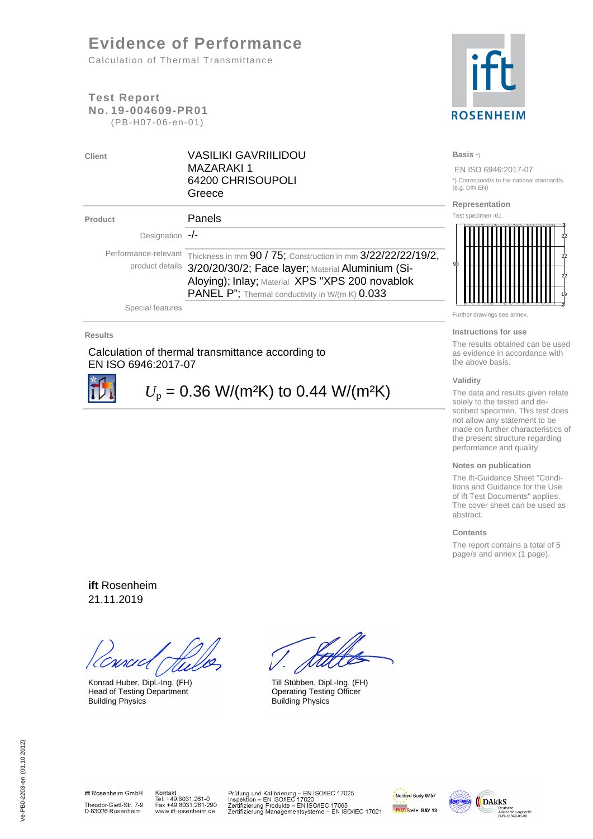# **Evidence of Performance**

Calculation of Thermal Transmittance

### **Test Report No. 19-004609-PR01**  (PB-H07-06-en-01)



| ent |  |  |  |
|-----|--|--|--|
|     |  |  |  |
|     |  |  |  |

**Client** VASILIKI GAVRIILIDOU MAZARAKI 1 64200 CHRISOUPOLI Greece

| Product                 | Panels                                                                                                                                                                                                                                                       |
|-------------------------|--------------------------------------------------------------------------------------------------------------------------------------------------------------------------------------------------------------------------------------------------------------|
| Designation $-\prime$ - |                                                                                                                                                                                                                                                              |
|                         | Performance-relevant Thickness in mm 90 / 75; Construction in mm 3/22/22/22/19/2,<br>product details 3/20/20/30/2; Face layer; Material Aluminium (Si-<br>Aloying); Inlay; Material XPS "XPS 200 novablok<br>PANEL P"; Thermal conductivity in W/(m K) 0.033 |

Special features

#### **Results**

Calculation of thermal transmittance according to EN ISO 6946:2017-07



 $U_p = 0.36$  W/(m<sup>2</sup>K) to 0.44 W/(m<sup>2</sup>K)

### **Basis** \*)

 EN ISO 6946:2017-07 \*) Correspond/s to the national standard/s (e.g. DIN EN)

#### **Representation**

Test specimen -01



Further drawings see annex.

#### **Instructions for use**

The results obtained can be used as evidence in accordance with the above basis.

#### **Validity**

The data and results given relate solely to the tested and described specimen. This test does not allow any statement to be made on further characteristics of the present structure regarding performance and quality.

#### **Notes on publication**

The ift-Guidance Sheet "Conditions and Guidance for the Use of ift Test Documents" applies. The cover sheet can be used as abstract.

#### **Contents**

The report contains a total of 5 page/s and annex (1 page).

**ift** Rosenheim 21.11.2019

Head of Testing Department Building Physics **Building Physics** 

Konrad Huber, Dipl.-Ing. (FH) Till Stübben, Dipl.-Ing. (FH)<br>
Head of Testing Department Coperating Testing Officer

ift Rosenheim GmbH Theodor-Gietl-Str. 7-9<br>D-83026 Rosenheim

Kontakt<br>Tel. +49.8031.261-0<br>Fax +49.8031.261-290<br>www.ift-rosenheim.de

Prüfung und Kalibrierung – EN ISO/IEC 17025<br>Inspektion – EN ISO/IEC 17020<br>Zertifizierung Produkte – EN ISO/IEC 17065<br>Zertifizierung Managementsysteme – EN ISO/IEC 17021



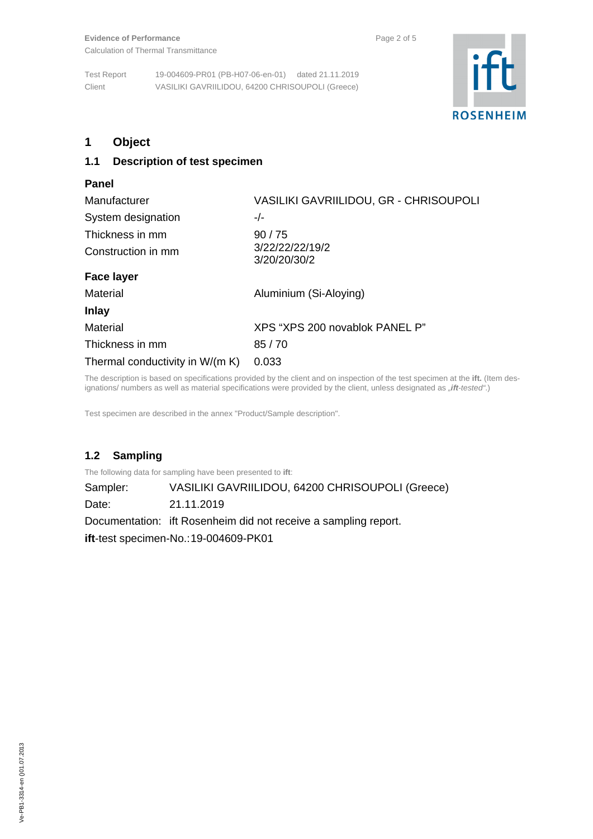

# **1 Object**

### **1.1 Description of test specimen**

| Panel                           |                                        |  |  |
|---------------------------------|----------------------------------------|--|--|
| Manufacturer                    | VASILIKI GAVRIILIDOU, GR - CHRISOUPOLI |  |  |
| System designation              | $-/-$                                  |  |  |
| Thickness in mm                 | 90/75                                  |  |  |
| Construction in mm              | 3/22/22/22/19/2<br>3/20/20/30/2        |  |  |
| <b>Face layer</b>               |                                        |  |  |
| Material                        | Aluminium (Si-Aloying)                 |  |  |
| <b>Inlay</b>                    |                                        |  |  |
| Material                        | XPS "XPS 200 novablok PANEL P"         |  |  |
| Thickness in mm                 | 85/70                                  |  |  |
| Thermal conductivity in W/(m K) | 0.033                                  |  |  |

The description is based on specifications provided by the client and on inspection of the test specimen at the **ift.** (Item designations/ numbers as well as material specifications were provided by the client, unless designated as "ift-tested".)

Test specimen are described in the annex "Product/Sample description".

# **1.2 Sampling**

The following data for sampling have been presented to **ift**:

Sampler: VASILIKI GAVRIILIDOU, 64200 CHRISOUPOLI (Greece)

Date: 21.11.2019

Documentation: ift Rosenheim did not receive a sampling report.

**ift**-test specimen-No.: 19-004609-PK01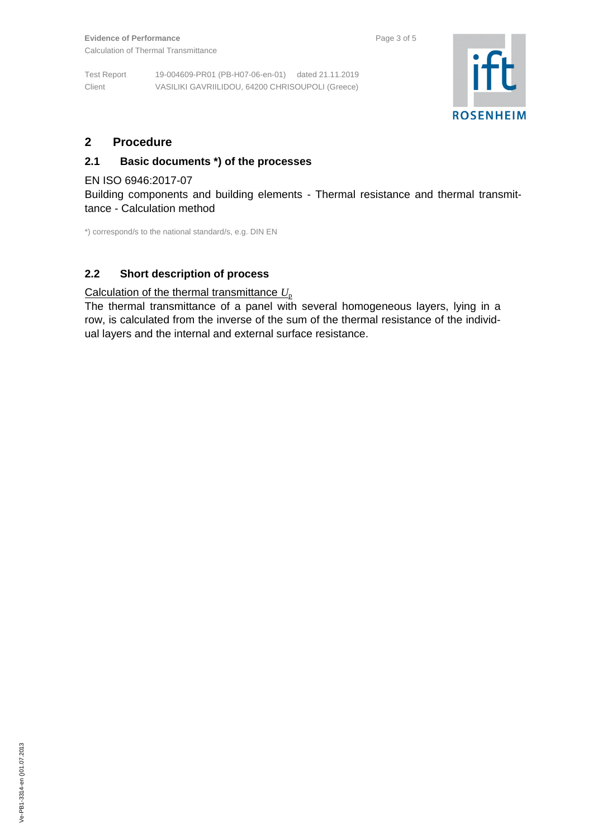Test Report 19-004609-PR01 (PB-H07-06-en-01) dated 21.11.2019 Client VASILIKI GAVRIILIDOU, 64200 CHRISOUPOLI (Greece)



# **2 Procedure**

## **2.1 Basic documents \*) of the processes**

### EN ISO 6946:2017-07

Building components and building elements - Thermal resistance and thermal transmittance - Calculation method

\*) correspond/s to the national standard/s, e.g. DIN EN

# **2.2 Short description of process**

## Calculation of the thermal transmittance  $U_p$

The thermal transmittance of a panel with several homogeneous layers, lying in a row, is calculated from the inverse of the sum of the thermal resistance of the individual layers and the internal and external surface resistance.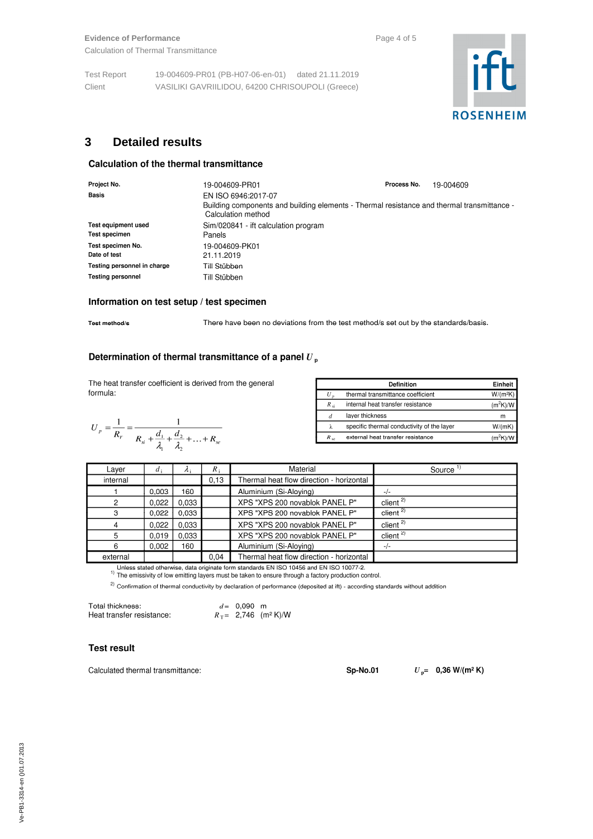Test Report 19-004609-PR01 (PB-H07-06-en-01) dated 21.11.2019 Client VASILIKI GAVRIILIDOU, 64200 CHRISOUPOLI (Greece)



# **3 Detailed results**

### **Calculation of the thermal transmittance**

| Project No.                                        | 19-004609-PR01                                                                                                                          | Process No. | 19-004609 |  |  |  |
|----------------------------------------------------|-----------------------------------------------------------------------------------------------------------------------------------------|-------------|-----------|--|--|--|
| <b>Basis</b>                                       | EN ISO 6946:2017-07<br>Building components and building elements - Thermal resistance and thermal transmittance -<br>Calculation method |             |           |  |  |  |
| <b>Test equipment used</b><br><b>Test specimen</b> | Sim/020841 - ift calculation program<br>Panels                                                                                          |             |           |  |  |  |
| Test specimen No.<br>Date of test                  | 19-004609-PK01<br>21.11.2019                                                                                                            |             |           |  |  |  |
| Testing personnel in charge                        | Till Stübben                                                                                                                            |             |           |  |  |  |
| <b>Testing personnel</b>                           | Till Stübben                                                                                                                            |             |           |  |  |  |

#### Information on test setup / test specimen

Test method/s

There have been no deviations from the test method/s set out by the standards/basis.

### Determination of thermal transmittance of a panel  $U_p$

The heat transfer coefficient is derived from the general formula:



|                 | Definition                                 | Einheit             |
|-----------------|--------------------------------------------|---------------------|
| U               | thermal transmittance coefficient          | W/(m <sup>2</sup> K |
| $R_{\text{si}}$ | internal heat transfer resistance          | $(m^2K)$            |
| đ               | layer thickness                            | m                   |
| λ               | specific thermal conductivity of the layer | W/(mK               |
| $R_{\rm se}$    | external heat transfer resistance          |                     |

| Layer    | $d_i$ | $\Lambda$ : | $R_{i}$ | Material                                 | Source <sup>11</sup>              |
|----------|-------|-------------|---------|------------------------------------------|-----------------------------------|
| internal |       |             | 0.13    | Thermal heat flow direction - horizontal |                                   |
|          | 0.003 | 160         |         | Aluminium (Si-Aloving)                   |                                   |
|          | 0.022 | 0.033       |         | XPS "XPS 200 novablok PANEL P"           | client <sup><math>2)</math></sup> |
| з        | 0.022 | 0.033       |         | XPS "XPS 200 novablok PANEL P"           | client $2$                        |
|          | 0.022 | 0.033       |         | XPS "XPS 200 novablok PANEL P"           | client <sup><math>2)</math></sup> |
|          | 0.019 | 0.033       |         | XPS "XPS 200 novablok PANEL P"           | client <sup><math>2)</math></sup> |
|          | 0.002 | 160         |         | Aluminium (Si-Aloving)                   | $-/-$                             |
| external |       |             | 0.04    | Thermal heat flow direction - horizontal |                                   |

Unless stated otherwise, data originate form standards EN ISO 10456 and EN ISO 10077-2.

The emissivity of low emitting layers must be taken to ensure through a factory production control.<br><sup>1)</sup> The emissivity of low emitting layers must be taken to ensure through a factory production control.

 $^{2)}$  Confirmation of thermal conductivity by declaration of performance (deposited at ift) - according standards without addition

| Total thickness:          | $d = 0.090$ m |                                    |
|---------------------------|---------------|------------------------------------|
| Heat transfer resistance: |               | $R_T = 2,746$ (m <sup>2</sup> K)/W |

#### **Test result**

Calculated thermal transmittance:

**Sp-No.01** 

 $U_{\text{p}} = 0,36 \text{ W/(m}^2 \text{ K)}$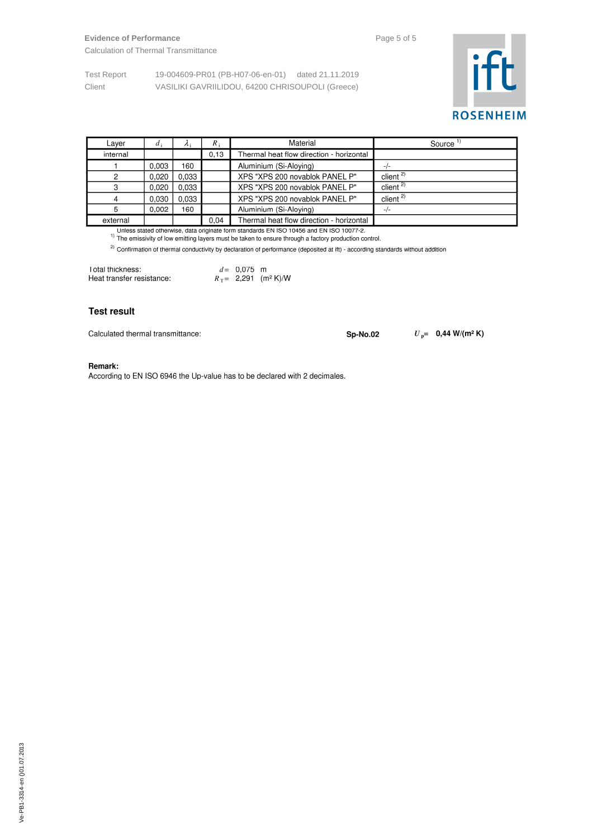# **Evidence of Performance Page 5 of 5**

Calculation of Thermal Transmittance

Test Report 19-004609-PR01 (PB-H07-06-en-01) dated 21.11.2019 Client VASILIKI GAVRIILIDOU, 64200 CHRISOUPOLI (Greece)



| Layer    | $d_i$ | $\lambda$ : | $R_{\perp}$ | Material                                 | Source                            |
|----------|-------|-------------|-------------|------------------------------------------|-----------------------------------|
| internal |       |             | 0.13        | Thermal heat flow direction - horizontal |                                   |
|          | 0.003 | 160         |             | Aluminium (Si-Aloying)                   | $-1-$                             |
|          | 0.020 | 0.033       |             | XPS "XPS 200 novablok PANEL P"           | client <sup>2)</sup>              |
| ◠        | 0.020 | 0.033       |             | XPS "XPS 200 novablok PANEL P"           | client <sup><math>2)</math></sup> |
| 4        | 0.030 | 0.033       |             | XPS "XPS 200 novablok PANEL P"           | client <sup>2)</sup>              |
| 5        | 0.002 | 160         |             | Aluminium (Si-Aloying)                   | $-/-$                             |
| external |       |             | 0.04        | Thermal heat flow direction - horizontal |                                   |

Unless stated otherwise, data originate form standards EN ISO 10456 and EN ISO 10077-2.<br><sup>1)</sup> The emissivity of low emitting layers must be taken to ensure through a factory production control.

<sup>2)</sup> Confirmation of thermal conductivity by declaration of performance (deposited at ift) - according standards without addition

| Total thickness:          | $d = 0.075$ m |                                    |
|---------------------------|---------------|------------------------------------|
| Heat transfer resistance: |               | $R_T = 2,291$ (m <sup>2</sup> K)/W |

#### **Test result**

Calculated thermal transmittance:

**Sp-No.02** 

 $U_p$ = 0,44 W/(m<sup>2</sup> K)

#### Remark:

According to EN ISO 6946 the Up-value has to be declared with 2 decimales.